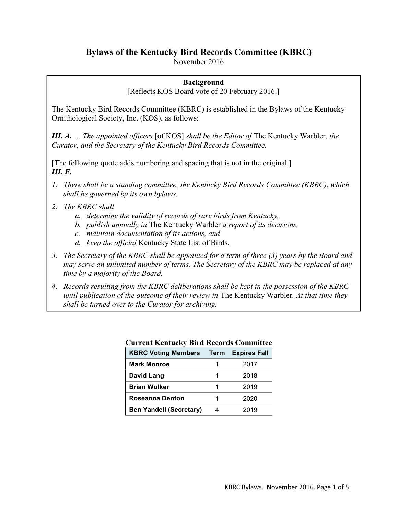## Bylaws of the Kentucky Bird Records Committee (KBRC)

November 2016

#### Background

[Reflects KOS Board vote of 20 February 2016.]

The Kentucky Bird Records Committee (KBRC) is established in the Bylaws of the Kentucky Ornithological Society, Inc. (KOS), as follows:

III. A. ... The appointed officers [of KOS] shall be the Editor of The Kentucky Warbler, the Curator, and the Secretary of the Kentucky Bird Records Committee.

[The following quote adds numbering and spacing that is not in the original.] III. E.

- 1. There shall be a standing committee, the Kentucky Bird Records Committee (KBRC), which shall be governed by its own bylaws.
- 2. The KBRC shall
	- a. determine the validity of records of rare birds from Kentucky,
	- b. publish annually in The Kentucky Warbler a report of its decisions,
	- c. maintain documentation of its actions, and
	- d. keep the official Kentucky State List of Birds.
- 3. The Secretary of the KBRC shall be appointed for a term of three (3) years by the Board and may serve an unlimited number of terms. The Secretary of the KBRC may be replaced at any time by a majority of the Board.
- 4. Records resulting from the KBRC deliberations shall be kept in the possession of the KBRC until publication of the outcome of their review in The Kentucky Warbler. At that time they shall be turned over to the Curator for archiving.

| <b>KBRC Voting Members</b>     | Term | <b>Expires Fall</b> |  |  |
|--------------------------------|------|---------------------|--|--|
| <b>Mark Monroe</b>             |      | 2017                |  |  |
| David Lang                     |      | 2018                |  |  |
| <b>Brian Wulker</b>            |      | 2019                |  |  |
| Roseanna Denton                |      | 2020                |  |  |
| <b>Ben Yandell (Secretary)</b> |      | 2019                |  |  |

# Current Kentucky Bird Records Committee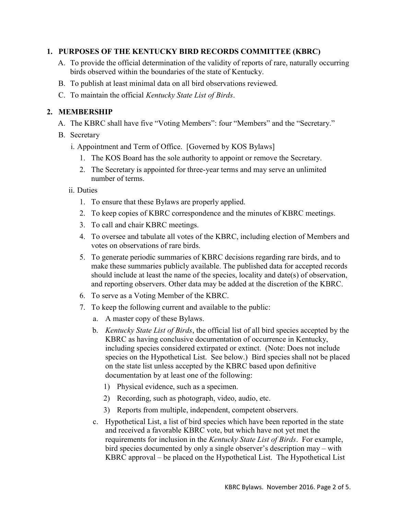#### 1. PURPOSES OF THE KENTUCKY BIRD RECORDS COMMITTEE (KBRC)

- A. To provide the official determination of the validity of reports of rare, naturally occurring birds observed within the boundaries of the state of Kentucky.
- B. To publish at least minimal data on all bird observations reviewed.
- C. To maintain the official Kentucky State List of Birds.

#### 2. MEMBERSHIP

- A. The KBRC shall have five "Voting Members": four "Members" and the "Secretary."
- B. Secretary
	- i. Appointment and Term of Office. [Governed by KOS Bylaws]
		- 1. The KOS Board has the sole authority to appoint or remove the Secretary.
		- 2. The Secretary is appointed for three-year terms and may serve an unlimited number of terms.

#### ii. Duties

- 1. To ensure that these Bylaws are properly applied.
- 2. To keep copies of KBRC correspondence and the minutes of KBRC meetings.
- 3. To call and chair KBRC meetings.
- 4. To oversee and tabulate all votes of the KBRC, including election of Members and votes on observations of rare birds.
- 5. To generate periodic summaries of KBRC decisions regarding rare birds, and to make these summaries publicly available. The published data for accepted records should include at least the name of the species, locality and date(s) of observation, and reporting observers. Other data may be added at the discretion of the KBRC.
- 6. To serve as a Voting Member of the KBRC.
- 7. To keep the following current and available to the public:
	- a. A master copy of these Bylaws.
	- b. Kentucky State List of Birds, the official list of all bird species accepted by the KBRC as having conclusive documentation of occurrence in Kentucky, including species considered extirpated or extinct. (Note: Does not include species on the Hypothetical List. See below.) Bird species shall not be placed on the state list unless accepted by the KBRC based upon definitive documentation by at least one of the following:
		- 1) Physical evidence, such as a specimen.
		- 2) Recording, such as photograph, video, audio, etc.
		- 3) Reports from multiple, independent, competent observers.
	- c. Hypothetical List, a list of bird species which have been reported in the state and received a favorable KBRC vote, but which have not yet met the requirements for inclusion in the Kentucky State List of Birds. For example, bird species documented by only a single observer's description may – with KBRC approval – be placed on the Hypothetical List. The Hypothetical List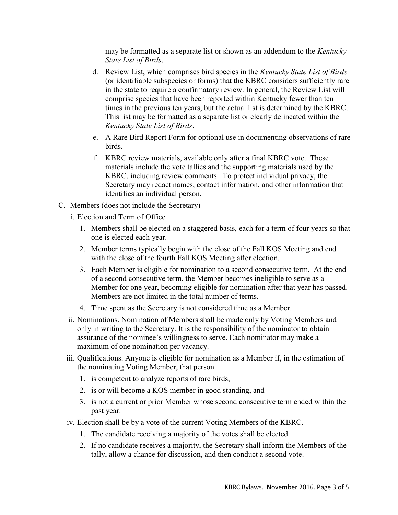may be formatted as a separate list or shown as an addendum to the *Kentucky* State List of Birds.

- d. Review List, which comprises bird species in the Kentucky State List of Birds (or identifiable subspecies or forms) that the KBRC considers sufficiently rare in the state to require a confirmatory review. In general, the Review List will comprise species that have been reported within Kentucky fewer than ten times in the previous ten years, but the actual list is determined by the KBRC. This list may be formatted as a separate list or clearly delineated within the Kentucky State List of Birds.
- e. A Rare Bird Report Form for optional use in documenting observations of rare birds.
- f. KBRC review materials, available only after a final KBRC vote. These materials include the vote tallies and the supporting materials used by the KBRC, including review comments. To protect individual privacy, the Secretary may redact names, contact information, and other information that identifies an individual person.
- C. Members (does not include the Secretary)
	- i. Election and Term of Office
		- 1. Members shall be elected on a staggered basis, each for a term of four years so that one is elected each year.
		- 2. Member terms typically begin with the close of the Fall KOS Meeting and end with the close of the fourth Fall KOS Meeting after election.
		- 3. Each Member is eligible for nomination to a second consecutive term. At the end of a second consecutive term, the Member becomes ineligible to serve as a Member for one year, becoming eligible for nomination after that year has passed. Members are not limited in the total number of terms.
		- 4. Time spent as the Secretary is not considered time as a Member.
	- ii. Nominations. Nomination of Members shall be made only by Voting Members and only in writing to the Secretary. It is the responsibility of the nominator to obtain assurance of the nominee's willingness to serve. Each nominator may make a maximum of one nomination per vacancy.
	- iii. Qualifications. Anyone is eligible for nomination as a Member if, in the estimation of the nominating Voting Member, that person
		- 1. is competent to analyze reports of rare birds,
		- 2. is or will become a KOS member in good standing, and
		- 3. is not a current or prior Member whose second consecutive term ended within the past year.
	- iv. Election shall be by a vote of the current Voting Members of the KBRC.
		- 1. The candidate receiving a majority of the votes shall be elected.
		- 2. If no candidate receives a majority, the Secretary shall inform the Members of the tally, allow a chance for discussion, and then conduct a second vote.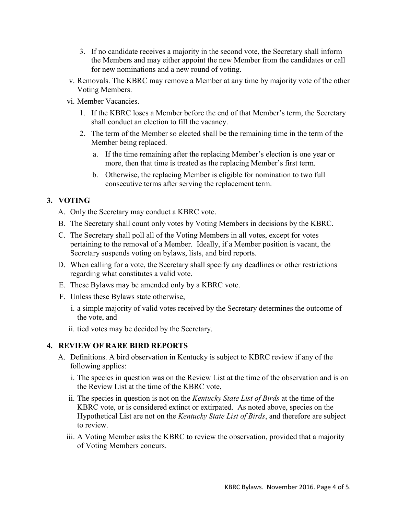- 3. If no candidate receives a majority in the second vote, the Secretary shall inform the Members and may either appoint the new Member from the candidates or call for new nominations and a new round of voting.
- v. Removals. The KBRC may remove a Member at any time by majority vote of the other Voting Members.
- vi. Member Vacancies.
	- 1. If the KBRC loses a Member before the end of that Member's term, the Secretary shall conduct an election to fill the vacancy.
	- 2. The term of the Member so elected shall be the remaining time in the term of the Member being replaced.
		- a. If the time remaining after the replacing Member's election is one year or more, then that time is treated as the replacing Member's first term.
		- b. Otherwise, the replacing Member is eligible for nomination to two full consecutive terms after serving the replacement term.

### 3. VOTING

- A. Only the Secretary may conduct a KBRC vote.
- B. The Secretary shall count only votes by Voting Members in decisions by the KBRC.
- C. The Secretary shall poll all of the Voting Members in all votes, except for votes pertaining to the removal of a Member. Ideally, if a Member position is vacant, the Secretary suspends voting on bylaws, lists, and bird reports.
- D. When calling for a vote, the Secretary shall specify any deadlines or other restrictions regarding what constitutes a valid vote.
- E. These Bylaws may be amended only by a KBRC vote.
- F. Unless these Bylaws state otherwise,
	- i. a simple majority of valid votes received by the Secretary determines the outcome of the vote, and
	- ii. tied votes may be decided by the Secretary.

#### 4. REVIEW OF RARE BIRD REPORTS

- A. Definitions. A bird observation in Kentucky is subject to KBRC review if any of the following applies:
	- i. The species in question was on the Review List at the time of the observation and is on the Review List at the time of the KBRC vote,
	- ii. The species in question is not on the Kentucky State List of Birds at the time of the KBRC vote, or is considered extinct or extirpated. As noted above, species on the Hypothetical List are not on the Kentucky State List of Birds, and therefore are subject to review.
	- iii. A Voting Member asks the KBRC to review the observation, provided that a majority of Voting Members concurs.